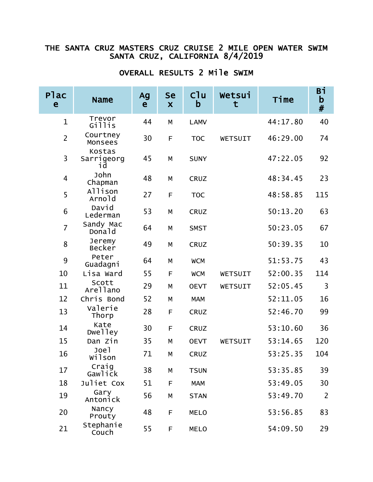## THE SANTA CRUZ MASTERS CRUZ CRUISE 2 MILE OPEN WATER SWIM SANTA CRUZ, CALIFORNIA 8/4/2019

| <b>Plac</b><br>e | <b>Name</b>                | Ag<br>e | <b>Se</b><br>X | Cl <sub>u</sub><br>$\mathbf b$ | Wetsui<br>t    | Time     | Вi<br>$\mathbf b$<br>$\#$ |
|------------------|----------------------------|---------|----------------|--------------------------------|----------------|----------|---------------------------|
| $\mathbf{1}$     | Trevor<br>Gillis           | 44      | M              | <b>LAMV</b>                    |                | 44:17.80 | 40                        |
| $\overline{2}$   | Courtney<br>Monsees        | 30      | F              | <b>TOC</b>                     | WETSUIT        | 46:29.00 | 74                        |
| 3                | Kostas<br>Sarrigeorg<br>٦d | 45      | M              | <b>SUNY</b>                    |                | 47:22.05 | 92                        |
| 4                | John<br>Chapman            | 48      | М              | <b>CRUZ</b>                    |                | 48:34.45 | 23                        |
| 5                | Allison<br>Arnold          | 27      | F              | <b>TOC</b>                     |                | 48:58.85 | 115                       |
| 6                | David<br>Lederman          | 53      | М              | <b>CRUZ</b>                    |                | 50:13.20 | 63                        |
| $\overline{7}$   | Sandy Mac<br>Donald        | 64      | M              | <b>SMST</b>                    |                | 50:23.05 | 67                        |
| 8                | Jeremy<br>Becker           | 49      | M              | <b>CRUZ</b>                    |                | 50:39.35 | 10                        |
| 9                | Peter<br>Guadagni          | 64      | М              | <b>WCM</b>                     |                | 51:53.75 | 43                        |
| 10               | Lisa Ward                  | 55      | F              | <b>WCM</b>                     | WETSUIT        | 52:00.35 | 114                       |
| 11               | Scott<br>Arellano          | 29      | M              | <b>OEVT</b>                    | WETSUIT        | 52:05.45 | 3                         |
| 12               | Chris Bond                 | 52      | M              | <b>MAM</b>                     |                | 52:11.05 | 16                        |
| 13               | Valerie<br>Thorp           | 28      | F              | <b>CRUZ</b>                    |                | 52:46.70 | 99                        |
| 14               | Kate<br>Dwelley            | 30      | F              | <b>CRUZ</b>                    |                | 53:10.60 | 36                        |
| 15               | Dan Zin                    | 35      | M              | <b>OEVT</b>                    | <b>WETSUIT</b> | 53:14.65 | 120                       |
| 16               | Joel<br>Wilson             | 71      | M              | <b>CRUZ</b>                    |                | 53:25.35 | 104                       |
| 17               | Craig<br>Gawlick           | 38      | М              | <b>TSUN</b>                    |                | 53:35.85 | 39                        |
| 18               | Juliet Cox                 | 51      | F              | <b>MAM</b>                     |                | 53:49.05 | 30                        |
| 19               | Gary<br>Antonick           | 56      | М              | <b>STAN</b>                    |                | 53:49.70 | $\overline{2}$            |
| 20               | Nancy<br>Prouty            | 48      | F              | <b>MELO</b>                    |                | 53:56.85 | 83                        |
| 21               | Stephanie<br>Couch         | 55      | F              | <b>MELO</b>                    |                | 54:09.50 | 29                        |

## OVERALL RESULTS 2 Mile SWIM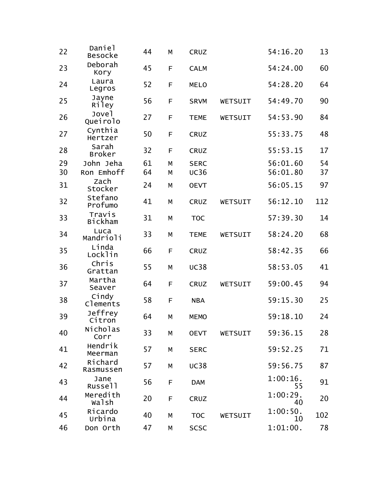| 22 | Daniel<br><b>Besocke</b>      | 44 | M           | <b>CRUZ</b> |                | 54:16.20          | 13  |
|----|-------------------------------|----|-------------|-------------|----------------|-------------------|-----|
| 23 | Deborah<br>Kory               | 45 | F           | <b>CALM</b> |                | 54:24.00          | 60  |
| 24 | Laura<br>Legros               | 52 | F           | <b>MELO</b> |                | 54:28.20          | 64  |
| 25 | Jayne<br>Riley                | 56 | F           | <b>SRVM</b> | WETSUIT        | 54:49.70          | 90  |
| 26 | Jove <sub>1</sub><br>Queirolo | 27 | F           | <b>TEME</b> | WETSUIT        | 54:53.90          | 84  |
| 27 | Cynthia<br>Hertzer            | 50 | F           | <b>CRUZ</b> |                | 55:33.75          | 48  |
| 28 | Sarah<br><b>Broker</b>        | 32 | F           | <b>CRUZ</b> |                | 55:53.15          | 17  |
| 29 | John Jeha                     | 61 | M           | <b>SERC</b> |                | 56:01.60          | 54  |
| 30 | Ron Emhoff                    | 64 | M           | <b>UC36</b> |                | 56:01.80          | 37  |
| 31 | Zach<br>Stocker               | 24 | M           | <b>OEVT</b> |                | 56:05.15          | 97  |
| 32 | Stefano<br>Profumo            | 41 | M           | <b>CRUZ</b> | <b>WETSUIT</b> | 56:12.10          | 112 |
| 33 | Travis<br><b>Bickham</b>      | 31 | M           | <b>TOC</b>  |                | 57:39.30          | 14  |
| 34 | Luca<br>Mandrioli             | 33 | М           | <b>TEME</b> | <b>WETSUIT</b> | 58:24.20          | 68  |
| 35 | Linda<br>Locklin              | 66 | $\mathsf F$ | <b>CRUZ</b> |                | 58:42.35          | 66  |
| 36 | Chris<br>Grattan              | 55 | M           | <b>UC38</b> |                | 58:53.05          | 41  |
| 37 | Martha<br>Seaver              | 64 | F           | <b>CRUZ</b> | WETSUIT        | 59:00.45          | 94  |
| 38 | Cindy<br>Clements             | 58 | F           | <b>NBA</b>  |                | 59:15.30          | 25  |
| 39 | Jeffrey<br>Citron             | 64 | М           | <b>MEMO</b> |                | 59:18.10          | 24  |
| 40 | Nicholas<br>Corr              | 33 | М           | <b>OEVT</b> | WETSUIT        | 59:36.15          | 28  |
| 41 | Hendrik<br>Meerman            | 57 | М           | <b>SERC</b> |                | 59:52.25          | 71  |
| 42 | Richard<br>Rasmussen          | 57 | М           | <b>UC38</b> |                | 59:56.75          | 87  |
| 43 | Jane<br>Russell               | 56 | F           | <b>DAM</b>  |                | $1:00:16$ .<br>55 | 91  |
| 44 | Meredith<br>walsh             | 20 | F           | <b>CRUZ</b> |                | 1:00:29.<br>40    | 20  |
| 45 | Ricardo<br>Urbina             | 40 | М           | <b>TOC</b>  | WETSUIT        | 1:00:50.<br>10    | 102 |
| 46 | Don Orth                      | 47 | М           | <b>SCSC</b> |                | 1:01:00.          | 78  |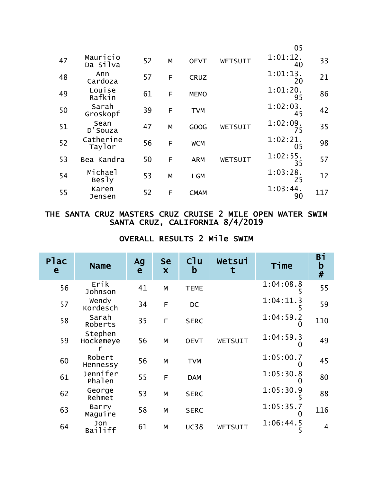|    |                         |    |   |             |         | 05                |     |
|----|-------------------------|----|---|-------------|---------|-------------------|-----|
| 47 | Mauricio<br>Da Silva    | 52 | M | <b>OEVT</b> | WETSUIT | $1:01:12$ .<br>40 | 33  |
| 48 | Ann<br>Cardoza          | 57 | F | <b>CRUZ</b> |         | $1:01:13$ .<br>20 | 21  |
| 49 | Louise<br>Rafkin        | 61 | F | <b>MEMO</b> |         | 1:01:20.<br>95    | 86  |
| 50 | Sarah<br>Groskopf       | 39 | E | <b>TVM</b>  |         | $1:02:03$ .<br>45 | 42  |
| 51 | Sean<br>D'Souza         | 47 | M | GOOG        | WETSUIT | 1:02:09.<br>75    | 35  |
| 52 | Catherine<br>Taylor     | 56 | E | <b>WCM</b>  |         | 1:02:21.<br>05    | 98  |
| 53 | Bea Kandra              | 50 | F | <b>ARM</b>  | WETSUIT | $1:02:55$ .<br>35 | 57  |
| 54 | Michael<br><b>Besly</b> | 53 | M | <b>LGM</b>  |         | 1:03:28.<br>25    | 12  |
| 55 | Karen<br>Jensen         | 52 | F | <b>CMAM</b> |         | 1:03:44.<br>90    | 117 |

## THE SANTA CRUZ MASTERS CRUZ CRUISE 2 MILE OPEN WATER SWIM SANTA CRUZ, CALIFORNIA 8/4/2019

## OVERALL RESULTS 2 Mile SWIM

| <b>Plac</b><br>e | <b>Name</b>          | Ag<br>e | <b>Se</b><br>$\boldsymbol{\mathsf{X}}$ | C <sup>1</sup> u<br>b | Wetsui  | Time           | Bi<br>$\mathbf b$<br># |
|------------------|----------------------|---------|----------------------------------------|-----------------------|---------|----------------|------------------------|
| 56               | Erik<br>Johnson      | 41      | M                                      | <b>TEME</b>           |         | 1:04:08.8      | 55                     |
| 57               | Wendy<br>Kordesch    | 34      | F                                      | <b>DC</b>             |         | 1:04:11.3      | 59                     |
| 58               | Sarah<br>Roberts     | 35      | F                                      | <b>SERC</b>           |         | 1:04:59.2      | 110                    |
| 59               | Stephen<br>Hockemeye | 56      | M                                      | <b>OEVT</b>           | WETSUIT | 1:04:59.3      | 49                     |
| 60               | Robert<br>Hennessy   | 56      | M                                      | <b>TVM</b>            |         | 1:05:00.7      | 45                     |
| 61               | Jennifer<br>Phalen   | 55      | F                                      | <b>DAM</b>            |         | 1:05:30.8      | 80                     |
| 62               | George<br>Rehmet     | 53      | M                                      | <b>SERC</b>           |         | 1:05:30.9      | 88                     |
| 63               | Barry<br>Maguire     | 58      | M                                      | <b>SERC</b>           |         | 1:05:35.7      | 116                    |
| 64               | Jon<br>Bailiff       | 61      | M                                      | <b>UC38</b>           | WETSUIT | 1:06:44.5<br>ל | $\overline{4}$         |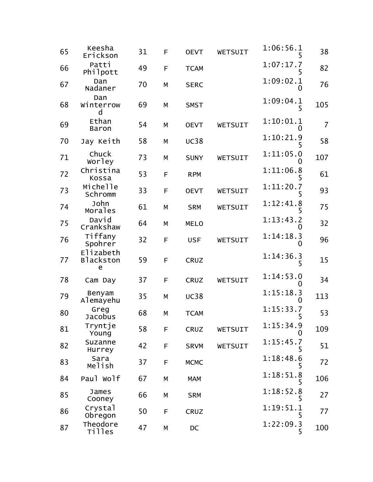| 65 | Keesha<br>Erickson                 | 31 | F | <b>OEVT</b> | WETSUIT | 1:06:56.1<br>5 | 38             |
|----|------------------------------------|----|---|-------------|---------|----------------|----------------|
| 66 | Patti<br>Philpott                  | 49 | F | <b>TCAM</b> |         | 1:07:17.7      | 82             |
| 67 | Dan<br>Nadaner                     | 70 | M | <b>SERC</b> |         | 1:09:02.1<br>0 | 76             |
| 68 | Dan<br>Winterrow<br>d              | 69 | M | <b>SMST</b> |         | 1:09:04.1<br>5 | 105            |
| 69 | Ethan<br>Baron                     | 54 | M | <b>OEVT</b> | WETSUIT | 1:10:01.1<br>0 | $\overline{7}$ |
| 70 | Jay Keith                          | 58 | M | <b>UC38</b> |         | 1:10:21.9      | 58             |
| 71 | Chuck<br>Worley                    | 73 | M | <b>SUNY</b> | WETSUIT | 1:11:05.0<br>0 | 107            |
| 72 | Christina<br>Kossa                 | 53 | F | <b>RPM</b>  |         | 1:11:06.8      | 61             |
| 73 | Michelle<br>Schromm                | 33 | F | <b>OEVT</b> | WETSUIT | 1:11:20.7<br>5 | 93             |
| 74 | John<br>Morales                    | 61 | M | <b>SRM</b>  | WETSUIT | 1:12:41.8      | 75             |
| 75 | David<br>Crankshaw                 | 64 | M | <b>MELO</b> |         | 1:13:43.2<br>0 | 32             |
| 76 | Tiffany<br>Spohrer                 | 32 | F | <b>USF</b>  | WETSUIT | 1:14:18.3<br>0 | 96             |
| 77 | Elizabeth<br><b>Blackston</b><br>e | 59 | F | <b>CRUZ</b> |         | 1:14:36.3<br>5 | 15             |
| 78 | Cam Day                            | 37 | F | <b>CRUZ</b> | WETSUIT | 1:14:53.0<br>0 | 34             |
| 79 | Benyam<br>Alemayehu                | 35 | M | <b>UC38</b> |         | 1:15:18.3<br>0 | 113            |
| 80 | Greg<br>Jacobus                    | 68 | М | <b>TCAM</b> |         | 1:15:33.7      | 53             |
| 81 | Tryntje<br>Young                   | 58 | F | <b>CRUZ</b> | WETSUIT | 1:15:34.9<br>0 | 109            |
| 82 | Suzanne<br>Hurrey                  | 42 | F | <b>SRVM</b> | WETSUIT | 1:15:45.7<br>5 | 51             |
| 83 | Sara<br>Melish                     | 37 | F | <b>MCMC</b> |         | 1:18:48.6<br>5 | 72             |
| 84 | Paul Wolf                          | 67 | M | <b>MAM</b>  |         | 1:18:51.8      | 106            |
| 85 | James<br>Cooney                    | 66 | М | <b>SRM</b>  |         | 1:18:52.8<br>5 | 27             |
| 86 | Crystal<br>Obregon                 | 50 | F | <b>CRUZ</b> |         | 1:19:51.1<br>5 | 77             |
| 87 | Theodore<br><b>Tilles</b>          | 47 | М | DC          |         | 1:22:09.3<br>5 | 100            |